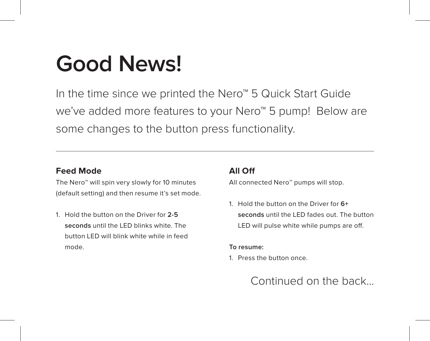# **Good News!**

In the time since we printed the Nero™ 5 Quick Start Guide we've added more features to your Nero™ 5 pump! Below are some changes to the button press functionality.

#### **Feed Mode**

The Nero™ will spin very slowly for 10 minutes (default setting) and then resume it's set mode.

1. Hold the button on the Driver for **2-5 seconds** until the LED blinks white. The button LED will blink white while in feed mode.

# **All Off**

All connected Nero™ pumps will stop.

1. Hold the button on the Driver for **6+ seconds** until the LED fades out. The button LED will pulse white while pumps are off.

#### **To resume:**

1. Press the button once.

Continued on the back...